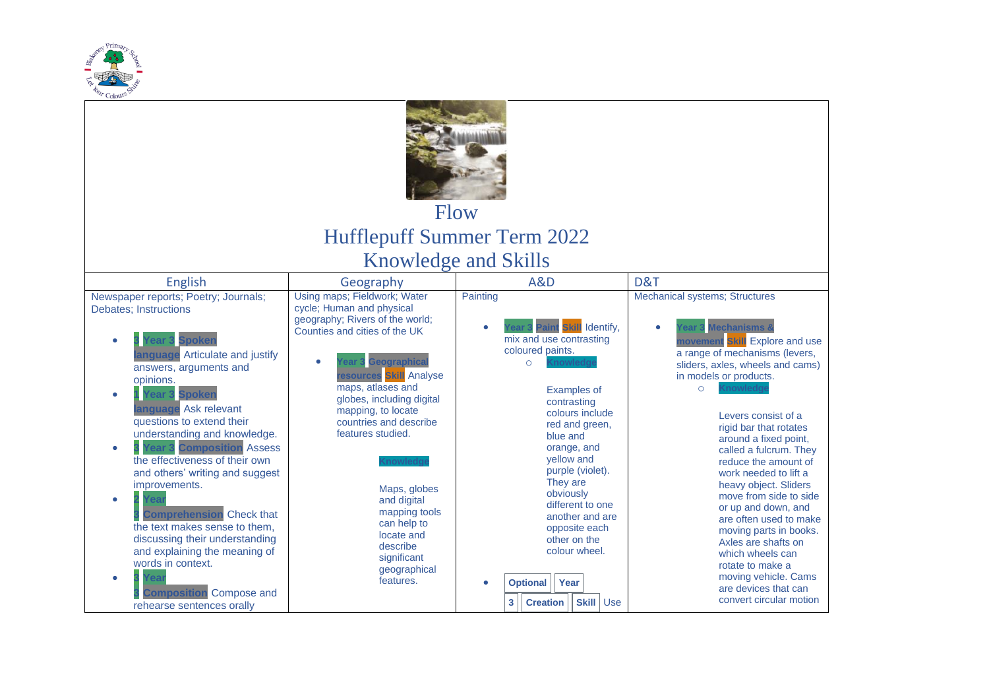

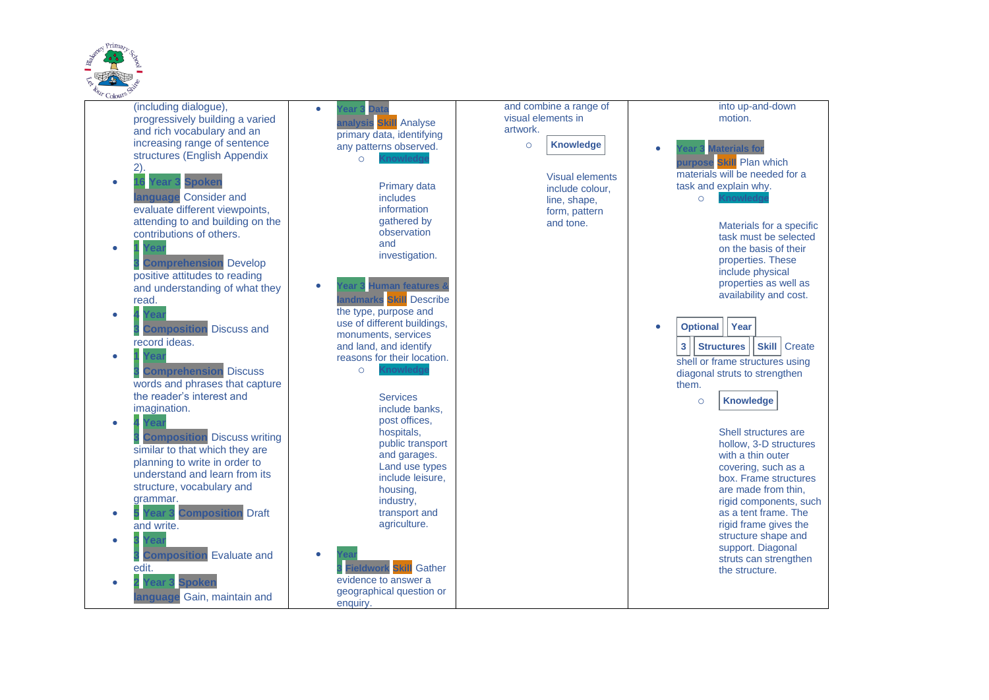

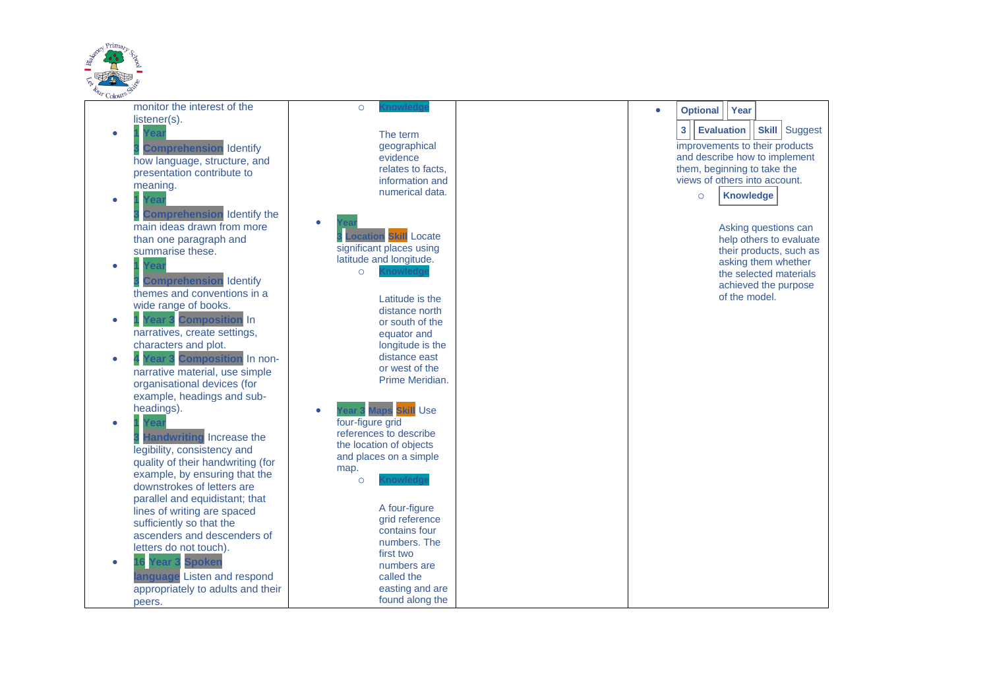

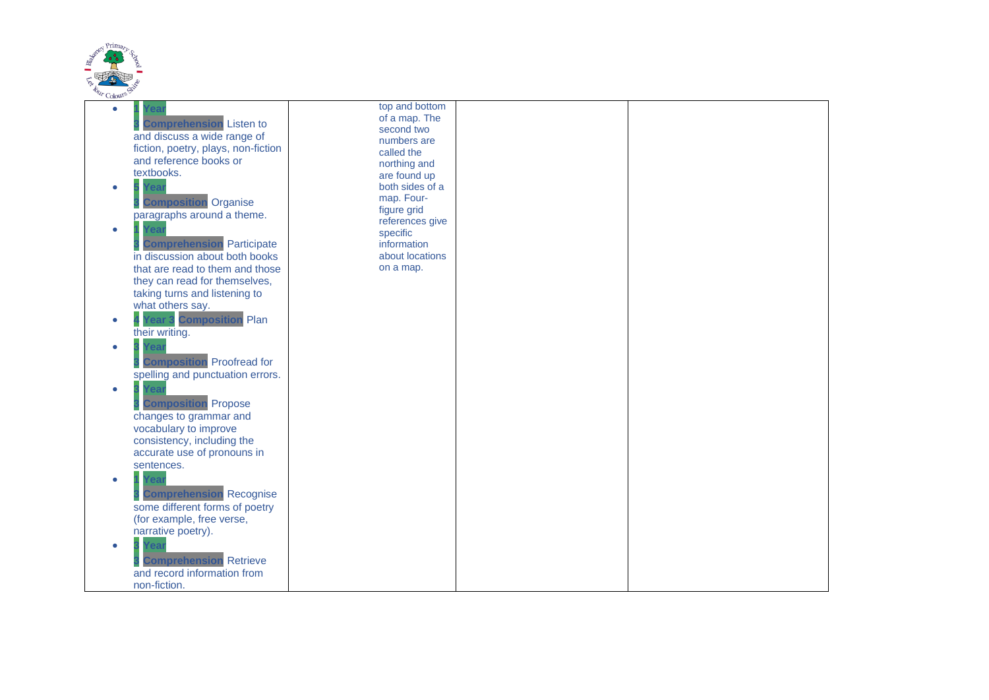

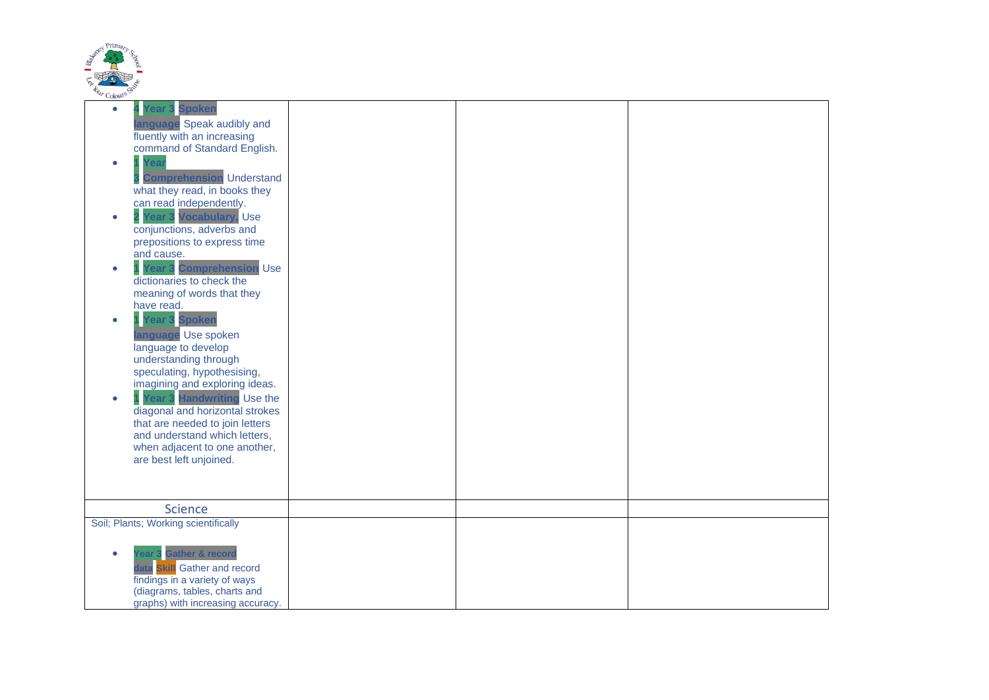

| ⊂oro⊶                                                                                                                                                                                                                                                                                                                                                                                                                                                                                                                                                                                                                                                                                                                                                                                                                        |  |  |
|------------------------------------------------------------------------------------------------------------------------------------------------------------------------------------------------------------------------------------------------------------------------------------------------------------------------------------------------------------------------------------------------------------------------------------------------------------------------------------------------------------------------------------------------------------------------------------------------------------------------------------------------------------------------------------------------------------------------------------------------------------------------------------------------------------------------------|--|--|
| <b>Spoken</b><br>۰<br>ear<br>language Speak audibly and<br>fluently with an increasing<br>command of Standard English.<br>۰<br><b>Comprehension</b> Understand<br>what they read, in books they<br>can read independently.<br>Year 3 Vocabulary, Use<br>$\bullet$<br>conjunctions, adverbs and<br>prepositions to express time<br>and cause.<br><b>Tear 3 Comprehension Use</b><br>dictionaries to check the<br>meaning of words that they<br>have read.<br><b>Spoken</b><br>۰<br>ear<br>anguage Use spoken<br>language to develop<br>understanding through<br>speculating, hypothesising,<br>imagining and exploring ideas.<br>ear 3 Handwriting Use the<br>diagonal and horizontal strokes<br>that are needed to join letters<br>and understand which letters,<br>when adjacent to one another,<br>are best left unjoined. |  |  |
|                                                                                                                                                                                                                                                                                                                                                                                                                                                                                                                                                                                                                                                                                                                                                                                                                              |  |  |
| <b>Science</b>                                                                                                                                                                                                                                                                                                                                                                                                                                                                                                                                                                                                                                                                                                                                                                                                               |  |  |
| Soil; Plants; Working scientifically                                                                                                                                                                                                                                                                                                                                                                                                                                                                                                                                                                                                                                                                                                                                                                                         |  |  |
| <b>Gather &amp; record</b><br><b>Skill</b> Gather and record<br>findings in a variety of ways<br>(diagrams, tables, charts and<br>graphs) with increasing accuracy.                                                                                                                                                                                                                                                                                                                                                                                                                                                                                                                                                                                                                                                          |  |  |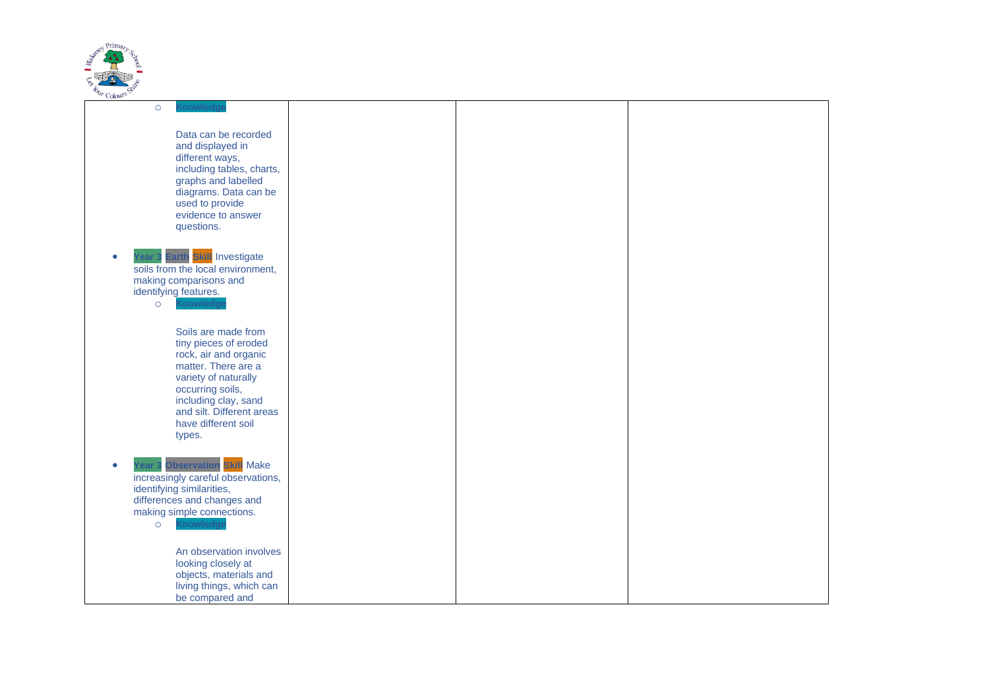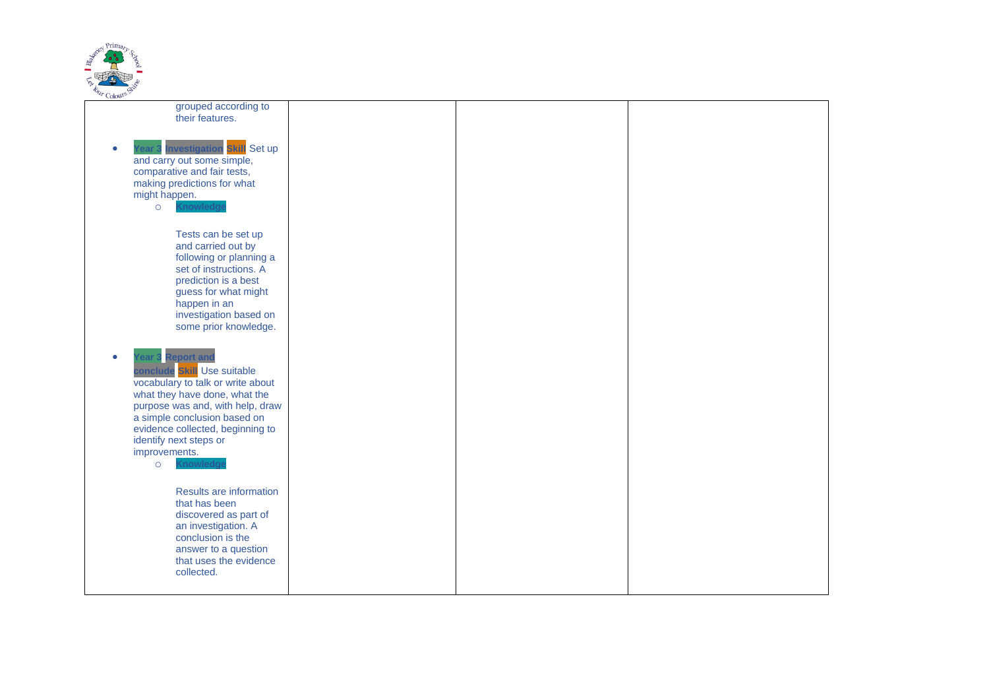

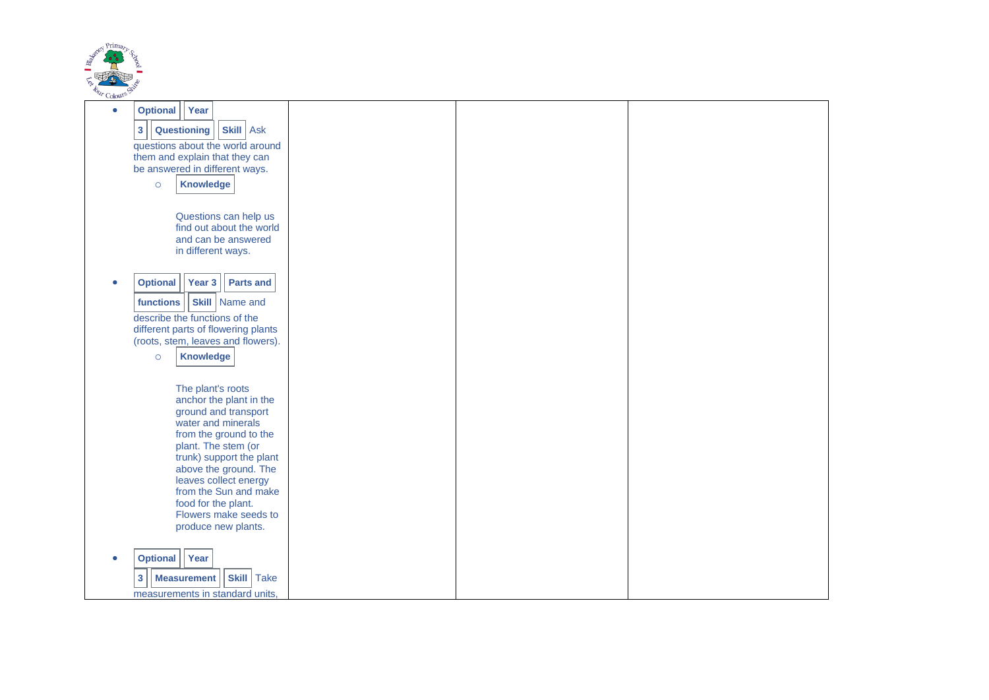